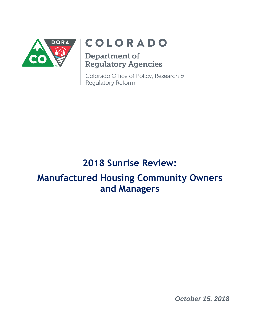

# COLORADO

## Department of **Regulatory Agencies**

Colorado Office of Policy, Research & Regulatory Reform

## **2018 Sunrise Review:**

## **Manufactured Housing Community Owners and Managers**

*October 15, 2018*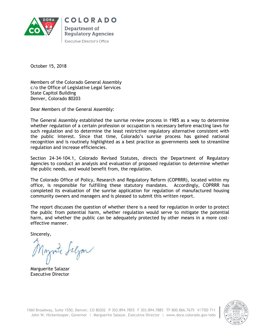

**COLORADO** Department of **Regulatory Agencies Executive Director's Office** 

October 15, 2018

Members of the Colorado General Assembly c/o the Office of Legislative Legal Services State Capitol Building Denver, Colorado 80203

Dear Members of the General Assembly:

The General Assembly established the sunrise review process in 1985 as a way to determine whether regulation of a certain profession or occupation is necessary before enacting laws for such regulation and to determine the least restrictive regulatory alternative consistent with the public interest. Since that time, Colorado's sunrise process has gained national recognition and is routinely highlighted as a best practice as governments seek to streamline regulation and increase efficiencies.

Section 24-34-104.1, Colorado Revised Statutes, directs the Department of Regulatory Agencies to conduct an analysis and evaluation of proposed regulation to determine whether the public needs, and would benefit from, the regulation.

The Colorado Office of Policy, Research and Regulatory Reform (COPRRR), located within my office, is responsible for fulfilling these statutory mandates. Accordingly, COPRRR has completed its evaluation of the sunrise application for regulation of manufactured housing community owners and managers and is pleased to submit this written report.

The report discusses the question of whether there is a need for regulation in order to protect the public from potential harm, whether regulation would serve to mitigate the potential harm, and whether the public can be adequately protected by other means in a more costeffective manner.

Sincerely,

Ingrite Selgan

Marguerite Salazar Executive Director

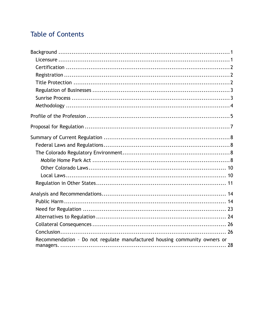## **Table of Contents**

| Recommendation - Do not regulate manufactured housing community owners or |
|---------------------------------------------------------------------------|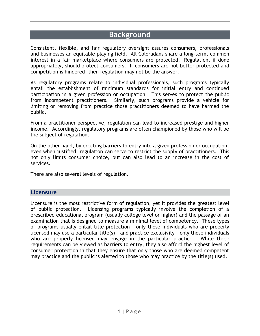## **Background**

<span id="page-3-0"></span>Consistent, flexible, and fair regulatory oversight assures consumers, professionals and businesses an equitable playing field. All Coloradans share a long-term, common interest in a fair marketplace where consumers are protected. Regulation, if done appropriately, should protect consumers. If consumers are not better protected and competition is hindered, then regulation may not be the answer.

As regulatory programs relate to individual professionals, such programs typically entail the establishment of minimum standards for initial entry and continued participation in a given profession or occupation. This serves to protect the public from incompetent practitioners. Similarly, such programs provide a vehicle for limiting or removing from practice those practitioners deemed to have harmed the public.

From a practitioner perspective, regulation can lead to increased prestige and higher income. Accordingly, regulatory programs are often championed by those who will be the subject of regulation.

On the other hand, by erecting barriers to entry into a given profession or occupation, even when justified, regulation can serve to restrict the supply of practitioners. This not only limits consumer choice, but can also lead to an increase in the cost of services.

There are also several levels of regulation.

#### <span id="page-3-1"></span>**Licensure**

Licensure is the most restrictive form of regulation, yet it provides the greatest level of public protection. Licensing programs typically involve the completion of a prescribed educational program (usually college level or higher) and the passage of an examination that is designed to measure a minimal level of competency. These types of programs usually entail title protection – only those individuals who are properly licensed may use a particular title(s) – and practice exclusivity – only those individuals who are properly licensed may engage in the particular practice. While these requirements can be viewed as barriers to entry, they also afford the highest level of consumer protection in that they ensure that only those who are deemed competent may practice and the public is alerted to those who may practice by the title(s) used.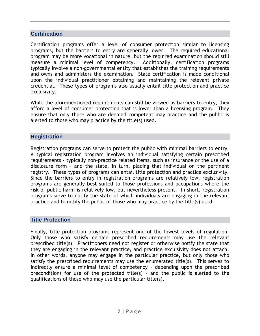#### <span id="page-4-0"></span>**Certification**

Certification programs offer a level of consumer protection similar to licensing programs, but the barriers to entry are generally lower. The required educational program may be more vocational in nature, but the required examination should still measure a minimal level of competency. Additionally, certification programs typically involve a non-governmental entity that establishes the training requirements and owns and administers the examination. State certification is made conditional upon the individual practitioner obtaining and maintaining the relevant private credential. These types of programs also usually entail title protection and practice exclusivity.

While the aforementioned requirements can still be viewed as barriers to entry, they afford a level of consumer protection that is lower than a licensing program. They ensure that only those who are deemed competent may practice and the public is alerted to those who may practice by the title(s) used.

#### <span id="page-4-1"></span>**Registration**

Registration programs can serve to protect the public with minimal barriers to entry. A typical registration program involves an individual satisfying certain prescribed requirements – typically non-practice related items, such as insurance or the use of a disclosure form – and the state, in turn, placing that individual on the pertinent registry. These types of programs can entail title protection and practice exclusivity. Since the barriers to entry in registration programs are relatively low, registration programs are generally best suited to those professions and occupations where the risk of public harm is relatively low, but nevertheless present. In short, registration programs serve to notify the state of which individuals are engaging in the relevant practice and to notify the public of those who may practice by the title(s) used.

#### <span id="page-4-2"></span>**Title Protection**

Finally, title protection programs represent one of the lowest levels of regulation. Only those who satisfy certain prescribed requirements may use the relevant prescribed title(s). Practitioners need not register or otherwise notify the state that they are engaging in the relevant practice, and practice exclusivity does not attach. In other words, anyone may engage in the particular practice, but only those who satisfy the prescribed requirements may use the enumerated title(s). This serves to indirectly ensure a minimal level of competency – depending upon the prescribed preconditions for use of the protected title(s) – and the public is alerted to the qualifications of those who may use the particular title(s).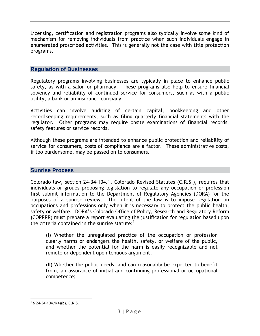Licensing, certification and registration programs also typically involve some kind of mechanism for removing individuals from practice when such individuals engage in enumerated proscribed activities. This is generally not the case with title protection programs.

#### <span id="page-5-0"></span>**Regulation of Businesses**

Regulatory programs involving businesses are typically in place to enhance public safety, as with a salon or pharmacy. These programs also help to ensure financial solvency and reliability of continued service for consumers, such as with a public utility, a bank or an insurance company.

Activities can involve auditing of certain capital, bookkeeping and other recordkeeping requirements, such as filing quarterly financial statements with the regulator. Other programs may require onsite examinations of financial records, safety features or service records.

Although these programs are intended to enhance public protection and reliability of service for consumers, costs of compliance are a factor. These administrative costs, if too burdensome, may be passed on to consumers.

#### <span id="page-5-1"></span>**Sunrise Process**

Colorado law, section 24-34-104.1, Colorado Revised Statutes (C.R.S.), requires that individuals or groups proposing legislation to regulate any occupation or profession first submit information to the Department of Regulatory Agencies (DORA) for the purposes of a sunrise review. The intent of the law is to impose regulation on occupations and professions only when it is necessary to protect the public health, safety or welfare. DORA's Colorado Office of Policy, Research and Regulatory Reform (COPRRR) must prepare a report evaluating the justification for regulation based upon the criteria contained in the sunrise statute: $<sup>1</sup>$ </sup>

(I) Whether the unregulated practice of the occupation or profession clearly harms or endangers the health, safety, or welfare of the public, and whether the potential for the harm is easily recognizable and not remote or dependent upon tenuous argument;

(II) Whether the public needs, and can reasonably be expected to benefit from, an assurance of initial and continuing professional or occupational competence;

l  $1$  § 24-34-104.1(4)(b), C.R.S.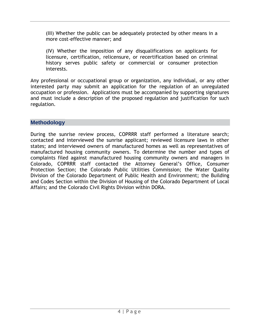(III) Whether the public can be adequately protected by other means in a more cost-effective manner; and

(IV) Whether the imposition of any disqualifications on applicants for licensure, certification, relicensure, or recertification based on criminal history serves public safety or commercial or consumer protection interests.

Any professional or occupational group or organization, any individual, or any other interested party may submit an application for the regulation of an unregulated occupation or profession. Applications must be accompanied by supporting signatures and must include a description of the proposed regulation and justification for such regulation.

#### <span id="page-6-0"></span>**Methodology**

During the sunrise review process, COPRRR staff performed a literature search; contacted and interviewed the sunrise applicant; reviewed licensure laws in other states; and interviewed owners of manufactured homes as well as representatives of manufactured housing community owners. To determine the number and types of complaints filed against manufactured housing community owners and managers in Colorado, COPRRR staff contacted the Attorney General's Office, Consumer Protection Section; the Colorado Public Utilities Commission; the Water Quality Division of the Colorado Department of Public Health and Environment; the Building and Codes Section within the Division of Housing of the Colorado Department of Local Affairs; and the Colorado Civil Rights Division within DORA.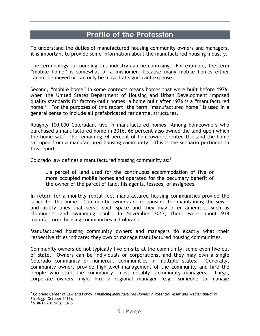## **Profile of the Profession**

<span id="page-7-0"></span>To understand the duties of manufactured housing community owners and managers, it is important to provide some information about the manufactured housing industry.

The terminology surrounding this industry can be confusing. For example, the term "mobile home" is somewhat of a misnomer, because many mobile homes either cannot be moved or can only be moved at significant expense.

Second, "mobile home" in some contexts means homes that were built before 1976, when the United States Department of Housing and Urban Development imposed quality standards for factory-built homes; a home built after 1976 is a "manufactured home." For the purposes of this report, the term "manufactured home" is used in a general sense to include all prefabricated residential structures.

Roughly 100,000 Coloradans live in manufactured homes. Among homeowners who purchased a manufactured home in 2016, 66 percent also owned the land upon which the home sat.<sup>2</sup> The remaining 34 percent of homeowners rented the land the home sat upon from a manufactured housing community. This is the scenario pertinent to this report.

Colorado law defines a manufactured housing community as: $^3$ 

…a parcel of land used for the continuous accommodation of five or more occupied mobile homes and operated for the pecuniary benefit of the owner of the parcel of land, his agents, lessees, or assignees.

In return for a monthly rental fee, manufactured housing communities provide the space for the home. Community owners are responsible for maintaining the sewer and utility lines that serve each space and they may offer amenities such as clubhouses and swimming pools. In November 2017, there were about 938 manufactured housing communities in Colorado.

Manufactured housing community owners and managers do exactly what their respective titles indicate: they own or manage manufactured housing communities.

Community owners do not typically live on-site at the community; some even live out of state. Owners can be individuals or corporations, and they may own a single Colorado community or numerous communities in multiple states. Generally, community owners provide high-level management of the community and hire the people who staff the community, most notably, community managers. Large, corporate owners might hire a regional manager (e.g., someone to manage

l <sup>2</sup> Colorado Center of Law and Policy. *Financing Manufactured Homes: A Potential Asset and Wealth Building Strategy* (October 2017).

 $3$  § 38-12-201.5(3), C.R.S.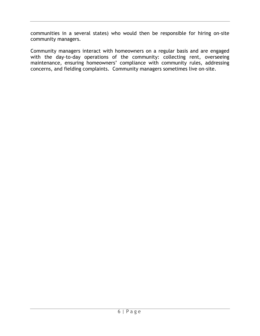communities in a several states) who would then be responsible for hiring on-site community managers.

Community managers interact with homeowners on a regular basis and are engaged with the day-to-day operations of the community: collecting rent, overseeing maintenance, ensuring homeowners' compliance with community rules, addressing concerns, and fielding complaints. Community managers sometimes live on-site.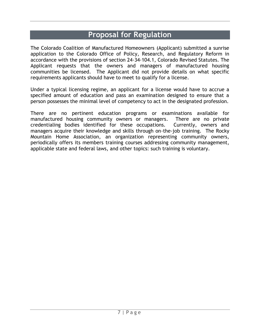## **Proposal for Regulation**

<span id="page-9-0"></span>The Colorado Coalition of Manufactured Homeowners (Applicant) submitted a sunrise application to the Colorado Office of Policy, Research, and Regulatory Reform in accordance with the provisions of section 24-34-104.1, Colorado Revised Statutes. The Applicant requests that the owners and managers of manufactured housing communities be licensed. The Applicant did not provide details on what specific requirements applicants should have to meet to qualify for a license.

Under a typical licensing regime, an applicant for a license would have to accrue a specified amount of education and pass an examination designed to ensure that a person possesses the minimal level of competency to act in the designated profession.

There are no pertinent education programs or examinations available for manufactured housing community owners or managers. There are no private credentialing bodies identified for these occupations. Currently, owners and managers acquire their knowledge and skills through on-the-job training. The Rocky Mountain Home Association, an organization representing community owners, periodically offers its members training courses addressing community management, applicable state and federal laws, and other topics: such training is voluntary.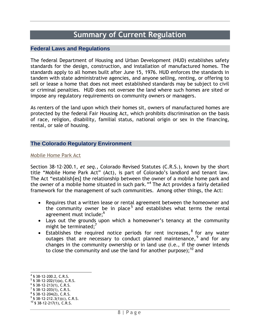### **Summary of Current Regulation**

#### <span id="page-10-1"></span><span id="page-10-0"></span>**Federal Laws and Regulations**

The federal Department of Housing and Urban Development (HUD) establishes safety standards for the design, construction, and installation of manufactured homes. The standards apply to all homes built after June 15, 1976. HUD enforces the standards in tandem with state administrative agencies, and anyone selling, renting, or offering to sell or lease a home that does not meet established standards may be subject to civil or criminal penalties. HUD does not oversee the land where such homes are sited or impose any regulatory requirements on community owners or managers.

As renters of the land upon which their homes sit, owners of manufactured homes are protected by the federal Fair Housing Act, which prohibits discrimination on the basis of race, religion, disability, familial status, national origin or sex in the financing, rental, or sale of housing.

#### <span id="page-10-2"></span>**The Colorado Regulatory Environment**

#### <span id="page-10-3"></span>Mobile Home Park Act

Section 38-12-200.1, *et seq.*, Colorado Revised Statutes (C.R.S.), known by the short title "Mobile Home Park Act" (Act), is part of Colorado's landlord and tenant law. The Act "establish[es] the relationship between the owner of a mobile home park and the owner of a mobile home situated in such park."<sup>4</sup> The Act provides a fairly detailed framework for the management of such communities. Among other things, the Act:

- Requires that a written lease or rental agreement between the homeowner and the community owner be in place<sup>5</sup> and establishes what terms the rental agreement must include;<sup>6</sup>
- Lays out the grounds upon which a homeowner's tenancy at the community might be terminated; $<sup>7</sup>$ </sup>
- Establishes the required notice periods for rent increases,  $8$  for any water outages that are necessary to conduct planned maintenance,  $9$  and for any changes in the community ownership or in land use (i.e., if the owner intends to close the community and use the land for another purpose): $^{10}$  and

l 4 § 38-12-200.2, C.R.S.

 $5$  § 38-12-202(1)(a), C.R.S.

 $6$  § 38-12-213(1), C.R.S.

 $7$  § 38-12-203(1), C.R.S.

 $8$  § 38-12-204(2), C.R.S.

 $9$  § 38-12-212.3(1)(c), C.R.S.

<sup>10</sup> § 38-12-217(1), C.R.S.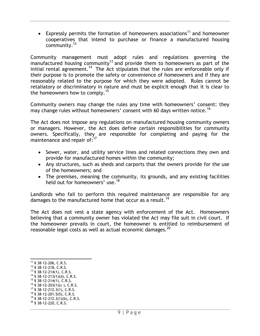Expressly permits the formation of homeowners associations<sup>11</sup> and homeowner cooperatives that intend to purchase or finance a manufactured housing community.<sup>12</sup>

Community management must adopt rules and regulations governing the manufactured housing community<sup>13</sup> and provide them to homeowners as part of the initial rental agreement.<sup>14</sup> The Act stipulates that the rules are enforceable only if their purpose is to promote the safety or convenience of homeowners and if they are reasonably related to the purpose for which they were adopted. Rules cannot be retaliatory or discriminatory in nature and must be explicit enough that it is clear to the homeowners how to comply.<sup>15</sup>

Community owners may change the rules any time with homeowners' consent: they may change rules without homeowners' consent with 60 days written notice.<sup>16</sup>

The Act does not impose any regulations on manufactured housing community owners or managers. However, the Act does define certain responsibilities for community owners. Specifically, they are responsible for completing and paying for the maintenance and repair of:<sup>17</sup>

- Sewer, water, and utility service lines and related connections they own and provide for manufactured homes within the community;
- Any structures, such as sheds and carports that the owners provide for the use of the homeowners; and
- The premises, meaning the community, its grounds, and any existing facilities held out for homeowners' use.<sup>18</sup>

Landlords who fail to perform this required maintenance are responsible for any damages to the manufactured home that occur as a result.<sup>19</sup>

The Act does not vest a state agency with enforcement of the Act. Homeowners believing that a community owner has violated the Act may file suit in civil court. If the homeowner prevails in court, the homeowner is entitled to reimbursement of reasonable legal costs as well as actual economic damages. $^{\mathrm{20}}$ 

 $18$  § 38-12-201.5(5), C.R.S.

<span id="page-11-0"></span>l <sup>11</sup> § 38-12-206, C.R.S.

<sup>12</sup> § 38-12-218, C.R.S.

 $13$  § 38-12-214(1), C.R.S.

 $14$  § 38-12-213(1)(d), C.R.S.

 $15$  § 38-12-214(1), C.R.S.

 $16$  § 38-12-203(1)(c), C.R.S.

 $17$  § 38-12-212.3(1), C.R.S.

 $19$  § 38-12-212.3(1)(b), C.R.S.

 $^{20}$  § 38-12-220, C.R.S.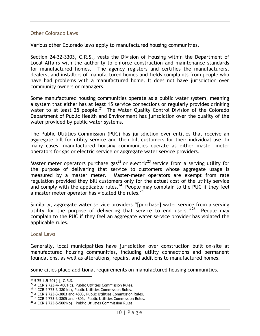#### Other Colorado Laws

Various other Colorado laws apply to manufactured housing communities.

Section 24-32-3303, C.R.S., vests the Division of Housing within the Department of Local Affairs with the authority to enforce construction and maintenance standards for manufactured homes. The agency registers and certifies the manufacturers, dealers, and installers of manufactured homes and fields complaints from people who have had problems with a manufactured home. It does not have jurisdiction over community owners or managers.

Some manufactured housing communities operate as a public water system, meaning a system that either has at least 15 service connections or regularly provides drinking water to at least 25 people.<sup>21</sup> The Water Quality Control Division of the Colorado Department of Public Health and Environment has jurisdiction over the quality of the water provided by public water systems.

The Public Utilities Commission (PUC) has jurisdiction over entities that receive an aggregate bill for utility service and then bill customers for their individual use. In many cases, manufactured housing communities operate as either master meter operators for gas or electric service or aggregate water service providers.

Master meter operators purchase gas<sup>22</sup> or electric<sup>23</sup> service from a serving utility for the purpose of delivering that service to customers whose aggregate usage is measured by a master meter. Master-meter operators are exempt from rate regulation provided they bill customers only for the actual cost of the utility service and comply with the applicable rules.<sup>24</sup> People may complain to the PUC if they feel a master meter operator has violated the rules. $^{25}$ 

Similarly, aggregate water service providers "[purchase] water service from a serving utility for the purpose of delivering that service to end users."<sup>26</sup> People may complain to the PUC if they feel an aggregate water service provider has violated the applicable rules.

#### <span id="page-12-0"></span>Local Laws

Generally, local municipalities have jurisdiction over construction built on-site at manufactured housing communities, including utility connections and permanent foundations, as well as alterations, repairs, and additions to manufactured homes.

Some cities place additional requirements on manufactured housing communities.

 $21$  § 25-1.5-201(1), C.R.S.

 $22$  4 CCR § 723-4- 4801(c), Public Utilities Commission Rules.

<sup>&</sup>lt;sup>23</sup> 4 CCR § 723-3-3801(c), Public Utilities Commission Rules.

<sup>&</sup>lt;sup>24</sup> 4 CCR § 723-3-3803 and 4803, Public Utilities Commission Rules.

 $25$  4 CCR § 723-3-3805 and 4805, Public Utilities Commission Rules.

<sup>&</sup>lt;sup>26</sup> 4 CCR § 723-5-5001(b), Public Utilities Commission Rules.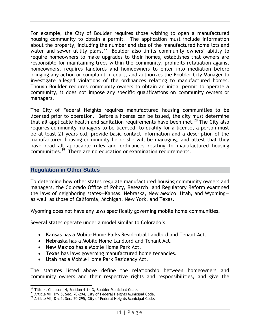For example, the City of Boulder requires those wishing to open a manufactured housing community to obtain a permit. The application must include information about the property, including the number and size of the manufactured home lots and water and sewer utility plans.<sup>27</sup> Boulder also limits community owners' ability to require homeowners to make upgrades to their homes, establishes that owners are responsible for maintaining trees within the community, prohibits retaliation against homeowners, requires landlords and homeowners to enter into mediation before bringing any action or complaint in court, and authorizes the Boulder City Manager to investigate alleged violations of the ordinances relating to manufactured homes. Though Boulder requires community owners to obtain an initial permit to operate a community, it does not impose any specific qualifications on community owners or managers.

The City of Federal Heights requires manufactured housing communities to be licensed prior to operation. Before a license can be issued, the city must determine that all applicable health and sanitation requirements have been met.<sup>28</sup> The City also requires community managers to be licensed: to qualify for a license, a person must be at least 21 years old, provide basic contact information and a description of the manufactured housing community he or she will be managing, and attest that they have read all applicable rules and ordinances relating to manufactured housing communities.<sup>29</sup> There are no education or examination requirements.

#### <span id="page-13-0"></span>**Regulation in Other States**

To determine how other states regulate manufactured housing community owners and managers, the Colorado Office of Policy, Research, and Regulatory Reform examined the laws of neighboring states—Kansas, Nebraska, New Mexico, Utah, and Wyoming as well as those of California, Michigan, New York, and Texas.

Wyoming does not have any laws specifically governing mobile home communities.

Several states operate under a model similar to Colorado's:

- **Kansas** has a Mobile Home Parks Residential Landlord and Tenant Act.
- **Nebraska** has a Mobile Home Landlord and Tenant Act.
- **New Mexico** has a Mobile Home Park Act.
- **Texas** has laws governing manufactured home tenancies.
- **Utah** has a Mobile Home Park Residency Act.

The statutes listed above define the relationship between homeowners and community owners and their respective rights and responsibilities, and give the

 $^{27}$  Title 4, Chapter 14, Section 4-14-3, Boulder Municipal Code.

<sup>&</sup>lt;sup>28</sup> Article VII, Div.5, Sec. 70-294, City of Federal Heights Municipal Code.

 $^{29}$  Article VII, Div.5, Sec. 70-295, City of Federal Heights Municipal Code.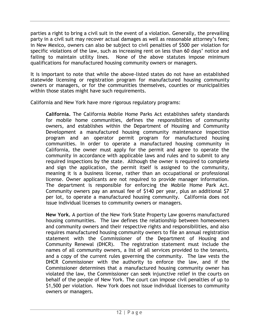parties a right to bring a civil suit in the event of a violation. Generally, the prevailing party in a civil suit may recover actual damages as well as reasonable attorney's fees; in New Mexico, owners can also be subject to civil penalties of \$500 per violation for specific violations of the law, such as increasing rent on less than 60 days' notice and failing to maintain utility lines. None of the above statutes impose minimum qualifications for manufactured housing community owners or managers.

It is important to note that while the above-listed states do not have an established statewide licensing or registration program for manufactured housing community owners or managers, or for the communities themselves, counties or municipalities within those states might have such requirements.

California and New York have more rigorous regulatory programs:

**California.** The California Mobile Home Parks Act establishes safety standards for mobile home communities, defines the responsibilities of community owners, and establishes within the Department of Housing and Community Development a manufactured housing community maintenance inspection program and an operator permit program for manufactured housing communities. In order to operate a manufactured housing community in California, the owner must apply for the permit and agree to operate the community in accordance with applicable laws and rules and to submit to any required inspections by the state. Although the owner is required to complete and sign the application, the permit itself is assigned to the community, meaning it is a business license, rather than an occupational or professional license. Owner applicants are not required to provide manager information. The department is responsible for enforcing the Mobile Home Park Act. Community owners pay an annual fee of \$140 per year, plus an additional \$7 per lot, to operate a manufactured housing community. California does not issue individual licenses to community owners or managers.

**New York.** A portion of the New York State Property Law governs manufactured housing communities. The law defines the relationship between homeowners and community owners and their respective rights and responsibilities, and also requires manufactured housing community owners to file an annual registration statement with the Commissioner of the Department of Housing and Community Renewal (DHCR). The registration statement must include the names of all community owners, a list of all services provided to the tenants, and a copy of the current rules governing the community. The law vests the DHCR Commissioner with the authority to enforce the law, and if the Commissioner determines that a manufactured housing community owner has violated the law, the Commissioner can seek injunctive relief in the courts on behalf of the people of New York. The court can impose civil penalties of up to \$1,500 per violation. New York does not issue individual licenses to community owners or managers.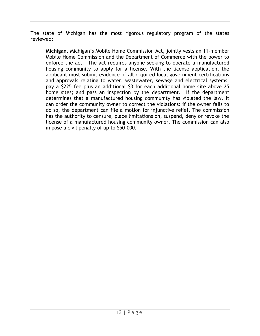The state of Michigan has the most rigorous regulatory program of the states reviewed:

**Michigan.** Michigan's Mobile Home Commission Act, jointly vests an 11-member Mobile Home Commission and the Department of Commerce with the power to enforce the act. The act requires anyone seeking to operate a manufactured housing community to apply for a license. With the license application, the applicant must submit evidence of all required local government certifications and approvals relating to water, wastewater, sewage and electrical systems; pay a \$225 fee plus an additional \$3 for each additional home site above 25 home sites; and pass an inspection by the department. If the department determines that a manufactured housing community has violated the law, it can order the community owner to correct the violations: if the owner fails to do so, the department can file a motion for injunctive relief. The commission has the authority to censure, place limitations on, suspend, deny or revoke the license of a manufactured housing community owner. The commission can also impose a civil penalty of up to \$50,000.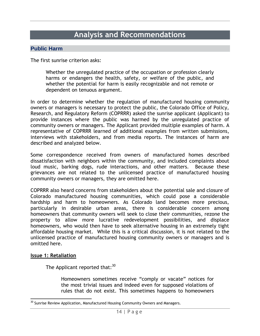### **Analysis and Recommendations**

#### <span id="page-16-1"></span><span id="page-16-0"></span>**Public Harm**

The first sunrise criterion asks:

Whether the unregulated practice of the occupation or profession clearly harms or endangers the health, safety, or welfare of the public, and whether the potential for harm is easily recognizable and not remote or dependent on tenuous argument.

In order to determine whether the regulation of manufactured housing community owners or managers is necessary to protect the public, the Colorado Office of Policy, Research, and Regulatory Reform (COPRRR) asked the sunrise applicant (Applicant) to provide instances where the public was harmed by the unregulated practice of community owners or managers. The Applicant provided multiple examples of harm. A representative of COPRRR learned of additional examples from written submissions, interviews with stakeholders, and from media reports. The instances of harm are described and analyzed below.

Some correspondence received from owners of manufactured homes described dissatisfaction with neighbors within the community, and included complaints about loud music, barking dogs, rude interactions, and other matters. Because these grievances are not related to the unlicensed practice of manufactured housing community owners or managers, they are omitted here.

COPRRR also heard concerns from stakeholders about the potential sale and closure of Colorado manufactured housing communities, which could pose a considerable hardship and harm to homeowners. As Colorado land becomes more precious, particularly in desirable urban areas, there is considerable concern among homeowners that community owners will seek to close their communities, rezone the property to allow more lucrative redevelopment possibilities, and displace homeowners, who would then have to seek alternative housing in an extremely tight affordable housing market. While this is a critical discussion, it is not related to the unlicensed practice of manufactured housing community owners or managers and is omitted here.

#### **Issue 1: Retaliation**

The Applicant reported that:  $^{\rm 30}$ 

Homeowners sometimes receive "comply or vacate" notices for the most trivial issues and indeed even for supposed violations of rules that do not exist. This sometimes happens to homeowners

l  $^{30}$  Sunrise Review Application, Manufactured Housing Community Owners and Managers.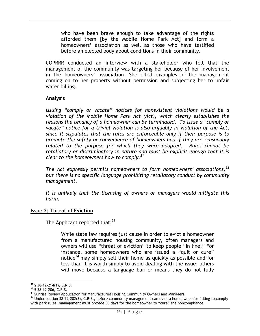who have been brave enough to take advantage of the rights afforded them [by the Mobile Home Park Act] and form a homeowners' association as well as those who have testified before an elected body about conditions in their community.

COPRRR conducted an interview with a stakeholder who felt that the management of the community was targeting her because of her involvement in the homeowners' association. She cited examples of the management coming on to her property without permission and subjecting her to unfair water billing.

#### **Analysis**

*Issuing "comply or vacate" notices for nonexistent violations would be a violation of the Mobile Home Park Act (Act), which clearly establishes the reasons the tenancy of a homeowner can be terminated. To issue a "comply or vacate" notice for a trivial violation is also arguably in violation of the Act, since it stipulates that the rules are enforceable only if their purpose is to promote the safety or convenience of homeowners and if they are reasonably related to the purpose for which they were adopted. Rules cannot be retaliatory or discriminatory in nature and must be explicit enough that it is clear to the homeowners how to comply.<sup>31</sup>* 

*The Act expressly permits homeowners to form homeowners' associations,<sup>32</sup> but there is no specific language prohibiting retaliatory conduct by community management.* 

*It is unlikely that the licensing of owners or managers would mitigate this harm.* 

#### **Issue 2: Threat of Eviction**

The Applicant reported that: $33$ 

While state law requires just cause in order to evict a homeowner from a manufactured housing community, often managers and owners will use "threat of eviction" to keep people "in line." For instance, some homeowners who are issued a "quit or cure" notice<sup>34</sup> may simply sell their home as quickly as possible and for less than it is worth simply to avoid dealing with the issue; others will move because a language barrier means they do not fully

  $31$  § 38-12-214(1), C.R.S.

 $32$  § 38-12-206, C.R.S.

<sup>&</sup>lt;sup>33</sup> Sunrise Review Application for Manufactured Housing Community Owners and Managers.

<sup>&</sup>lt;sup>34</sup> Under section 38-12-202(3), C.R.S., before community management can evict a homeowner for failing to comply with park rules, management must provide 30 days for the homeowner to "cure" the noncompliance.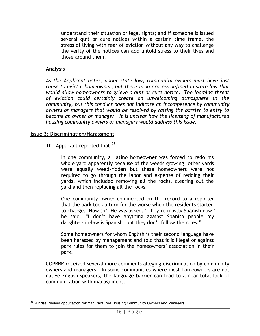understand their situation or legal rights; and if someone is issued several quit or cure notices within a certain time frame, the stress of living with fear of eviction without any way to challenge the verity of the notices can add untold stress to their lives and those around them.

#### **Analysis**

*As the Applicant notes, under state law, community owners must have just cause to evict a homeowner, but there is no process defined in state law that would allow homeowners to grieve a quit or cure notice. The looming threat of eviction could certainly create an unwelcoming atmosphere in the community, but this conduct does not indicate an incompetence by community owners or managers that would be resolved by raising the barrier to entry to become an owner or manager. It is unclear how the licensing of manufactured housing community owners or managers would address this issue.*

#### **Issue 3: Discrimination/Harassment**

The Applicant reported that:  $35$ 

In one community, a Latino homeowner was forced to redo his whole yard apparently because of the weeds growing—other yards were equally weed-ridden but these homeowners were not required to go through the labor and expense of redoing their yards, which included removing all the rocks, clearing out the yard and then replacing all the rocks.

One community owner commented on the record to a reporter that the park took a turn for the worse when the residents started to change. How so? He was asked. "They're mostly Spanish now," he said. "I don't have anything against Spanish people—my daughter- in-law is Spanish—but they don't follow the rules."

Some homeowners for whom English is their second language have been harassed by management and told that it is illegal or against park rules for them to join the homeowners' association in their park.

COPRRR received several more comments alleging discrimination by community owners and managers. In some communities where most homeowners are not native English-speakers, the language barrier can lead to a near-total lack of communication with management.

l <sup>35</sup> Sunrise Review Application for Manufactured Housing Community Owners and Managers.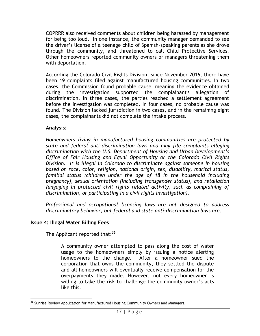COPRRR also received comments about children being harassed by management for being too loud. In one instance, the community manager demanded to see the driver's license of a teenage child of Spanish-speaking parents as she drove through the community, and threatened to call Child Protective Services. Other homeowners reported community owners or managers threatening them with deportation.

According the Colorado Civil Rights Division, since November 2016, there have been 19 complaints filed against manufactured housing communities. In two cases, the Commission found probable cause—meaning the evidence obtained during the investigation supported the complainant's allegation of discrimination. In three cases, the parties reached a settlement agreement before the investigation was completed. In four cases, no probable cause was found. The Division lacked jurisdiction in two cases, and in the remaining eight cases, the complainants did not complete the intake process.

#### **Analysis:**

*Homeowners living in manufactured housing communities are protected by state and federal anti-discrimination laws and may file complaints alleging discrimination with the U.S. Department of Housing and Urban Development's Office of Fair Housing and Equal Opportunity or the Colorado Civil Rights Division. It is illegal in Colorado to discriminate against someone in housing based on race, color, religion, national origin, sex, disability, marital status, familial status (children under the age of 18 in the household including pregnancy), sexual orientation (including transgender status), and retaliation (engaging in protected civil rights related activity, such as complaining of discrimination, or participating in a civil rights investigation).*

*Professional and occupational licensing laws are not designed to address discriminatory behavior, but federal and state anti-discrimination laws are.*

#### **Issue 4: Illegal Water Billing Fees**

The Applicant reported that:<sup>36</sup>

A community owner attempted to pass along the cost of water usage to the homeowners simply by issuing a notice alerting homeowners to the change. After a homeowner sued the corporation that owns the community, they settled the dispute and all homeowners will eventually receive compensation for the overpayments they made. However, not every homeowner is willing to take the risk to challenge the community owner's acts like this.

l <sup>36</sup> Sunrise Review Application for Manufactured Housing Community Owners and Managers.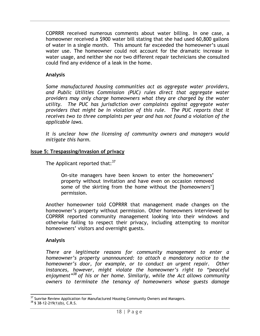COPRRR received numerous comments about water billing. In one case, a homeowner received a \$900 water bill stating that she had used 60,800 gallons of water in a single month. This amount far exceeded the homeowner's usual water use. The homeowner could not account for the dramatic increase in water usage, and neither she nor two different repair technicians she consulted could find any evidence of a leak in the home.

#### **Analysis**

*Some manufactured housing communities act as aggregate water providers, and Public Utilities Commission (PUC) rules direct that aggregate water providers may only charge homeowners what they are charged by the water utility. The PUC has jurisdiction over complaints against aggregate water providers that might be in violation of this rule. The PUC reports that it receives two to three complaints per year and has not found a violation of the applicable laws.* 

*It is unclear how the licensing of community owners and managers would mitigate this harm.*

#### **Issue 5: Trespassing/Invasion of privacy**

The Applicant reported that: $37$ 

On-site managers have been known to enter the homeowners' property without invitation and have even on occasion removed some of the skirting from the home without the [homeowners'] permission.

Another homeowner told COPRRR that management made changes on the homeowner's property without permission. Other homeowners interviewed by COPRRR reported community management looking into their windows and otherwise failing to respect their privacy, including attempting to monitor homeowners' visitors and overnight guests.

#### **Analysis**

*There are legitimate reasons for community management to enter a homeowner's property unannounced: to attach a mandatory notice to the homeowner's door, for example, or to conduct an urgent repair. Other instances, however, might violate the homeowner's right to "peaceful enjoyment"<sup>38</sup> of his or her home. Similarly, while the Act allows community owners to terminate the tenancy of homeowners whose guests damage* 

l  $37$  Sunrise Review Application for Manufactured Housing Community Owners and Managers.

 $38$  § 38-12-219(1)(b), C.R.S.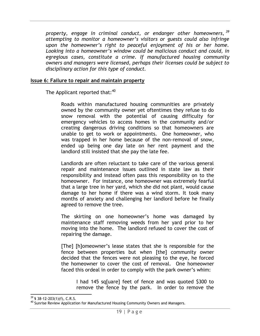*property, engage in criminal conduct, or endanger other homeowners, <sup>39</sup> attempting to monitor a homeowner's visitors or guests could also infringe upon the homeowner's right to peaceful enjoyment of his or her home. Looking into a homeowner's window could be malicious conduct and could, in egregious cases, constitute a crime. If manufactured housing community owners and managers were licensed, perhaps their licenses could be subject to disciplinary action for this type of conduct.*

#### **Issue 6: Failure to repair and maintain property**

The Applicant reported that: $40$ 

Roads within manufactured housing communities are privately owned by the community owner yet oftentimes they refuse to do snow removal with the potential of causing difficulty for emergency vehicles to access homes in the community and/or creating dangerous driving conditions so that homeowners are unable to get to work or appointments. One homeowner, who was trapped in her home because of the non-removal of snow, ended up being one day late on her rent payment and the landlord still insisted that she pay the late fee.

Landlords are often reluctant to take care of the various general repair and maintenance issues outlined in state law as their responsibility and instead often pass this responsibility on to the homeowner. For instance, one homeowner was extremely fearful that a large tree in her yard, which she did not plant, would cause damage to her home if there was a wind storm. It took many months of anxiety and challenging her landlord before he finally agreed to remove the tree.

The skirting on one homeowner's home was damaged by maintenance staff removing weeds from her yard prior to her moving into the home. The landlord refused to cover the cost of repairing the damage.

[The] [h]omeowner's lease states that she is responsible for the fence between properties but when [the] community owner decided that the fences were not pleasing to the eye, he forced the homeowner to cover the cost of removal. One homeowner faced this ordeal in order to comply with the park owner's whim:

I had 145 sq[uare] feet of fence and was quoted \$300 to remove the fence by the park. In order to remove the

l  $39$  § 38-12-203(1)(f), C.R.S.

<sup>&</sup>lt;sup>40</sup> Sunrise Review Application for Manufactured Housing Community Owners and Managers.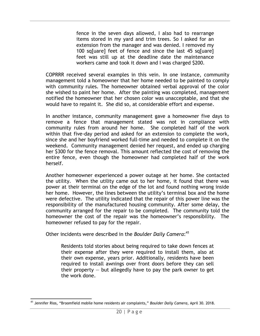fence in the seven days allowed, I also had to rearrange items stored in my yard and trim trees. So I asked for an extension from the manager and was denied. I removed my 100 sq[uare] feet of fence and since the last 45 sq[uare] feet was still up at the deadline date the maintenance workers came and took it down and I was charged \$200.

COPRRR received several examples in this vein. In one instance, community management told a homeowner that her home needed to be painted to comply with community rules. The homeowner obtained verbal approval of the color she wished to paint her home. After the painting was completed, management notified the homeowner that her chosen color was unacceptable, and that she would have to repaint it. She did so, at considerable effort and expense.

In another instance, community management gave a homeowner five days to remove a fence that management stated was not in compliance with community rules from around her home. She completed half of the work within that five-day period and asked for an extension to complete the work, since she and her boyfriend worked full-time and needed to complete it on the weekend. Community management denied her request, and ended up charging her \$300 for the fence removal. This amount reflected the cost of removing the entire fence, even though the homeowner had completed half of the work herself.

Another homeowner experienced a power outage at her home. She contacted the utility. When the utility came out to her home, it found that there was power at their terminal on the edge of the lot and found nothing wrong inside her home. However, the lines between the utility's terminal box and the home were defective. The utility indicated that the repair of this power line was the responsibility of the manufactured housing community. After some delay, the community arranged for the repair to be completed. The community told the homeowner the cost of the repair was the homeowner's responsibility. The homeowner refused to pay for the repair.

Other incidents were described in the *Boulder Daily Camera*: 41

Residents told stories about being required to take down fences at their expense after they were required to install them, also at their own expense, years prior. Additionally, residents have been required to install awnings over front doors before they can sell their property  $-$  but allegedly have to pay the park owner to get the work done.

l <sup>41</sup> Jennifer Rios, "Broomfield mobile home residents air complaints," *Boulder Daily Camera*, April 30. 2018.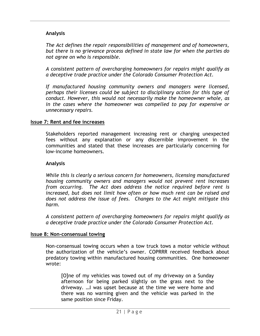#### **Analysis**

*The Act defines the repair responsibilities of management and of homeowners, but there is no grievance process defined in state law for when the parties do not agree on who is responsible.* 

*A consistent pattern of overcharging homeowners for repairs might qualify as a deceptive trade practice under the Colorado Consumer Protection Act.* 

*If manufactured housing community owners and managers were licensed, perhaps their licenses could be subject to disciplinary action for this type of conduct. However, this would not necessarily make the homeowner whole, as in the cases where the homeowner was compelled to pay for expensive or unnecessary repairs.*

#### **Issue 7: Rent and fee increases**

Stakeholders reported management increasing rent or charging unexpected fees without any explanation or any discernible improvement in the communities and stated that these increases are particularly concerning for low-income homeowners.

#### **Analysis**

*While this is clearly a serious concern for homeowners, licensing manufactured housing community owners and managers would not prevent rent increases from occurring. The Act does address the notice required before rent is increased, but does not limit how often or how much rent can be raised and does not address the issue of fees. Changes to the Act might mitigate this harm.* 

*A consistent pattern of overcharging homeowners for repairs might qualify as a deceptive trade practice under the Colorado Consumer Protection Act.*

#### **Issue 8: Non-consensual towing**

Non-consensual towing occurs when a tow truck tows a motor vehicle without the authorization of the vehicle's owner. COPRRR received feedback about predatory towing within manufactured housing communities. One homeowner wrote:

[O]ne of my vehicles was towed out of my driveway on a Sunday afternoon for being parked slightly on the grass next to the driveway. …I was upset because at the time we were home and there was no warning given and the vehicle was parked in the same position since Friday.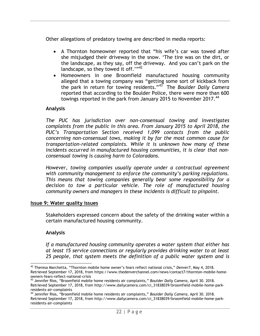Other allegations of predatory towing are described in media reports:

- A Thornton homeowner reported that "his wife's car was towed after she misjudged their driveway in the snow. 'The tire was on the dirt, or the landscape, as they say, off the driveway. And you can't park on the landscape, so they towed it off.' $"$ <sup>42</sup>
- Homeowners in one Broomfield manufactured housing community alleged that a towing company was "getting some sort of kickback from the park in return for towing residents."<sup>43</sup> The *Boulder Daily Camera* reported that according to the Boulder Police, there were more than 600 towings reported in the park from January 2015 to November 2017.<sup>44</sup>

#### **Analysis**

*The PUC has jurisdiction over non-consensual towing and investigates complaints from the public in this area. From January 2015 to April 2018, the PUC's Transportation Section received 1,099 contacts from the public concerning non-consensual tows, making it by far the most common cause for transportation-related complaints. While it is unknown how many of these incidents occurred in manufactured housing communities, it is clear that nonconsensual towing is causing harm to Coloradans.*

*However, towing companies usually operate under a contractual agreement with community management to enforce the community's parking regulations. This means that towing companies generally bear some responsibility for a decision to tow a particular vehicle. The role of manufactured housing community owners and managers in these incidents is difficult to pinpoint.* 

#### **Issue 9: Water quality issues**

Stakeholders expressed concern about the safety of the drinking water within a certain manufactured housing community.

#### **Analysis**

*If a manufactured housing community operates a water system that either has at least 15 service connections or regularly provides drinking water to at least 25 people, that system meets the definition of a public water system and is* 

l <sup>42</sup> Theresa Marchetta, "Thornton mobile home owner's fears reflect national crisis," *Denver7*, May 4, 2018. Retrieved September 17, 2018, from https://www.thedenverchannel.com/news/contact7/thornton-mobile-homeowners-fears-reflect-national-crisis

<sup>43</sup> Jennifer Rios, "Broomfield mobile home residents air complaints," *Boulder Daily Camera*, April 30. 2018. Retrieved September 17, 2018, from http://www.dailycamera.com/ci\_31838039/broomfield-mobile-home-parkresidents-air-complaints

<sup>44</sup> Jennifer Rios, "Broomfield mobile home residents air complaints," *Boulder Daily Camera*, April 30. 2018. Retrieved September 17, 2018, from http://www.dailycamera.com/ci\_31838039/broomfield-mobile-home-parkresidents-air-complaints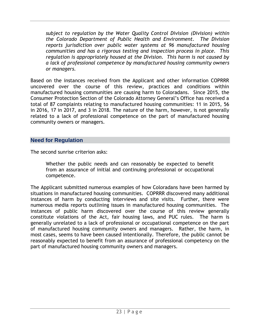*subject to regulation by the Water Quality Control Division (Division) within the Colorado Department of Public Health and Environment. The Division reports jurisdiction over public water systems at 96 manufactured housing communities and has a rigorous testing and inspection process in place. This regulation is appropriately housed at the Division. This harm is not caused by a lack of professional competence by manufactured housing community owners or managers.* 

Based on the instances received from the Applicant and other information COPRRR uncovered over the course of this review, practices and conditions within manufactured housing communities are causing harm to Coloradans. Since 2015, the Consumer Protection Section of the Colorado Attorney General's Office has received a total of 87 complaints relating to manufactured housing communities: 11 in 2015, 56 in 2016, 17 in 2017, and 3 in 2018. The nature of the harm, however, is not generally related to a lack of professional competence on the part of manufactured housing community owners or managers.

#### <span id="page-25-0"></span>**Need for Regulation**

The second sunrise criterion asks:

Whether the public needs and can reasonably be expected to benefit from an assurance of initial and continuing professional or occupational competence.

The Applicant submitted numerous examples of how Coloradans have been harmed by situations in manufactured housing communities. COPRRR discovered many additional instances of harm by conducting interviews and site visits. Further, there were numerous media reports outlining issues in manufactured housing communities. The instances of public harm discovered over the course of this review generally constitute violations of the Act, fair housing laws, and PUC rules. The harm is generally unrelated to a lack of professional or occupational competence on the part of manufactured housing community owners and managers. Rather, the harm, in most cases, seems to have been caused intentionally. Therefore, the public cannot be reasonably expected to benefit from an assurance of professional competency on the part of manufactured housing community owners and managers.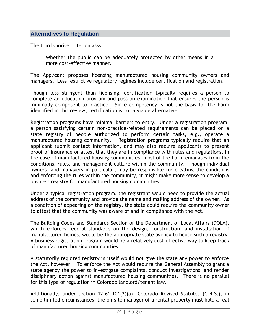#### <span id="page-26-0"></span>**Alternatives to Regulation**

The third sunrise criterion asks:

Whether the public can be adequately protected by other means in a more cost-effective manner.

The Applicant proposes licensing manufactured housing community owners and managers. Less restrictive regulatory regimes include certification and registration.

Though less stringent than licensing, certification typically requires a person to complete an education program and pass an examination that ensures the person is minimally competent to practice. Since competency is not the basis for the harm identified in this review, certification is not a viable alternative.

Registration programs have minimal barriers to entry. Under a registration program, a person satisfying certain non-practice-related requirements can be placed on a state registry of people authorized to perform certain tasks, e.g., operate a manufactured housing community. Registration programs typically require that an applicant submit contact information, and may also require applicants to present proof of insurance or attest that they are in compliance with rules and regulations. In the case of manufactured housing communities, most of the harm emanates from the conditions, rules, and management culture within the community. Though individual owners, and managers in particular, may be responsible for creating the conditions and enforcing the rules within the community, it might make more sense to develop a business registry for manufactured housing communities.

Under a typical registration program, the registrant would need to provide the actual address of the community and provide the name and mailing address of the owner. As a condition of appearing on the registry, the state could require the community owner to attest that the community was aware of and in compliance with the Act.

The Building Codes and Standards Section of the Department of Local Affairs (DOLA), which enforces federal standards on the design, construction, and installation of manufactured homes, would be the appropriate state agency to house such a registry. A business registration program would be a relatively cost-effective way to keep track of manufactured housing communities.

A statutorily required registry in itself would not give the state any power to enforce the Act, however. To enforce the Act would require the General Assembly to grant a state agency the power to investigate complaints, conduct investigations, and render disciplinary action against manufactured housing communities. There is no parallel for this type of regulation in Colorado landlord/tenant law.

Additionally, under section 12-61-101(2)(a), Colorado Revised Statutes (C.R.S.), in some limited circumstances, the on-site manager of a rental property must hold a real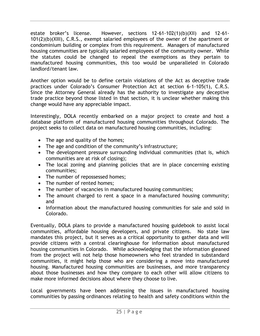estate broker's license. However, sections 12-61-102(1)(b)(XII) and 12-61- 101(2)(b)(XIII), C.R.S., exempt salaried employees of the owner of the apartment or condominium building or complex from this requirement. Managers of manufactured housing communities are typically salaried employees of the community owner. While the statutes could be changed to repeal the exemptions as they pertain to manufactured housing communities, this too would be unparalleled in Colorado landlord/tenant law.

Another option would be to define certain violations of the Act as deceptive trade practices under Colorado's Consumer Protection Act at section 6-1-105(1), C.R.S. Since the Attorney General already has the authority to investigate any deceptive trade practice beyond those listed in that section, it is unclear whether making this change would have any appreciable impact.

Interestingly, DOLA recently embarked on a major project to create and host a database platform of manufactured housing communities throughout Colorado. The project seeks to collect data on manufactured housing communities, including:

- The age and quality of the homes;
- The age and condition of the community's infrastructure;
- The development pressure surrounding individual communities (that is, which communities are at risk of closing);
- The local zoning and planning policies that are in place concerning existing communities;
- The number of repossessed homes;
- The number of rented homes;
- The number of vacancies in manufactured housing communities;
- The amount charged to rent a space in a manufactured housing community; and
- Information about the manufactured housing communities for sale and sold in Colorado.

Eventually, DOLA plans to provide a manufactured housing guidebook to assist local communities, affordable housing developers, and private citizens. No state law mandates this project, but it serves as a critical opportunity to gather data and will provide citizens with a central clearinghouse for information about manufactured housing communities in Colorado. While acknowledging that the information gleaned from the project will not help those homeowners who feel stranded in substandard communities, it might help those who are considering a move into manufactured housing. Manufactured housing communities are businesses, and more transparency about those businesses and how they compare to each other will allow citizens to make more informed decisions about where they choose to live.

Local governments have been addressing the issues in manufactured housing communities by passing ordinances relating to health and safety conditions within the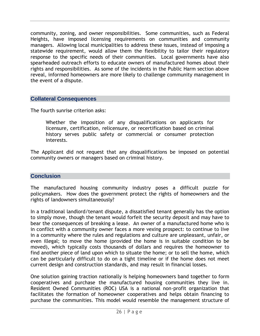community, zoning, and owner responsibilities. Some communities, such as Federal Heights, have imposed licensing requirements on communities and community managers. Allowing local municipalities to address these issues, instead of imposing a statewide requirement, would allow them the flexibility to tailor their regulatory response to the specific needs of their communities. Local governments have also spearheaded outreach efforts to educate owners of manufactured homes about their rights and responsibilities. As some of the incidents in the Public Harm section above reveal, informed homeowners are more likely to challenge community management in the event of a dispute.

#### <span id="page-28-0"></span>**Collateral Consequences**

The fourth sunrise criterion asks:

Whether the imposition of any disqualifications on applicants for licensure, certification, relicensure, or recertification based on criminal history serves public safety or commercial or consumer protection interests.

The Applicant did not request that any disqualifications be imposed on potential community owners or managers based on criminal history.

#### <span id="page-28-1"></span>**Conclusion**

The manufactured housing community industry poses a difficult puzzle for policymakers. How does the government protect the rights of homeowners and the rights of landowners simultaneously?

In a traditional landlord/tenant dispute, a dissatisfied tenant generally has the option to simply move, though the tenant would forfeit the security deposit and may have to bear the consequences of breaking a lease. An owner of a manufactured home who is in conflict with a community owner faces a more vexing prospect: to continue to live in a community where the rules and regulations and culture are unpleasant, unfair, or even illegal; to move the home (provided the home is in suitable condition to be moved), which typically costs thousands of dollars and requires the homeowner to find another piece of land upon which to situate the home; or to sell the home, which can be particularly difficult to do on a tight timeline or if the home does not meet current design and construction standards, and may result in financial losses.

One solution gaining traction nationally is helping homeowners band together to form cooperatives and purchase the manufactured housing communities they live in. Resident Owned Communities (ROC) USA is a national non-profit organization that facilitates the formation of homeowner cooperatives and helps obtain financing to purchase the communities. This model would resemble the management structure of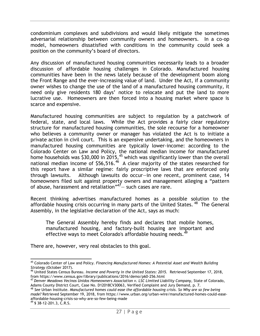condominium complexes and subdivisions and would likely mitigate the sometimes adversarial relationship between community owners and homeowners. In a co-op model, homeowners dissatisfied with conditions in the community could seek a position on the community's board of directors.

Any discussion of manufactured housing communities necessarily leads to a broader discussion of affordable housing challenges in Colorado. Manufactured housing communities have been in the news lately because of the development boom along the Front Range and the ever-increasing value of land. Under the Act, if a community owner wishes to change the use of the land of a manufactured housing community, it need only give residents 180 days' notice to relocate and put the land to more lucrative use. Homeowners are then forced into a housing market where space is scarce and expensive.

Manufactured housing communities are subject to regulation by a patchwork of federal, state, and local laws. While the Act provides a fairly clear regulatory structure for manufactured housing communities, the sole recourse for a homeowner who believes a community owner or manager has violated the Act is to initiate a private action in civil court. This is an expensive undertaking, and the homeowners in manufactured housing communities are typically lower-income: according to the Colorado Center on Law and Policy, the national median income for manufactured home households was \$30,000 in 2015, $^{45}$  which was significantly lower than the overall national median income of \$56,516. $46$  A clear majority of the states researched for this report have a similar regime: fairly proscriptive laws that are enforced only through lawsuits. Although lawsuits do occur—in one recent, prominent case, 14 homeowners filed suit against property owners and management alleging a "pattern of abuse, harassment and retaliation"<sup>47</sup> – such cases are rare.

Recent thinking advertises manufactured homes as a possible solution to the affordable housing crisis occurring in many parts of the United States.<sup>48</sup> The General Assembly, in the legislative declaration of the Act, says as much:

The General Assembly hereby finds and declares that mobile homes, manufactured housing, and factory-built housing are important and effective ways to meet Colorado's affordable housing needs.<sup>49</sup>

There are, however, very real obstacles to this goal.

<sup>48</sup> *See* Urban Institute. *Manufactured homes could ease the affordable housing crisis. So Why are so few being made?* Retrieved September 19, 2018, from https://www.urban.org/urban-wire/manufactured-homes-could-easeaffordable-housing-crisis-so-why-are-so-few-being-made

 $49$  § 38-12-201.3, C.R.S.

l <sup>45</sup> Colorado Center of Law and Policy. *Financing Manufactured Homes: A Potential Asset and Wealth Building Strategy* (October 2017).

<sup>46</sup> United States Census Bureau. *Income and Poverty in the United States: 2015.* Retrieved September 17, 2018, from https://www.census.gov/library/publications/2016/demo/p60-256.html

<sup>47</sup> *Denver Meadows Vecinos Unidos Homeowners Association v. LSC Limited Liability Company*, State of Colorado, Adams County District Court, Case No. D12018CV30063, Verified Complaint and Jury Demand, p. 7.